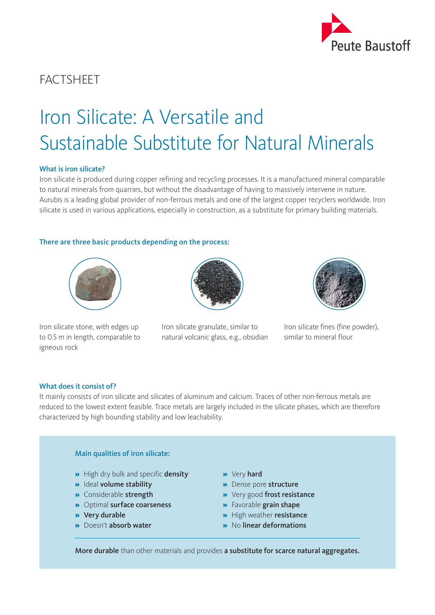

# **FACTSHEET**

# Iron Silicate: A Versatile and Sustainable Substitute for Natural Minerals

# What is iron silicate?

Iron silicate is produced during copper refining and recycling processes. It is a manufactured mineral comparable to natural minerals from quarries, but without the disadvantage of having to massively intervene in nature. Aurubis is a leading global provider of non-ferrous metals and one of the largest copper recyclers worldwide. Iron silicate is used in various applications, especially in construction, as a substitute for primary building materials.

# There are three basic products depending on the process:



Iron silicate stone, with edges up to 0.5 m in length, comparable to igneous rock





Iron silicate fines (fine powder), similar to mineral flour

# What does it consist of?

It mainly consists of iron silicate and silicates of aluminum and calcium. Traces of other non-ferrous metals are reduced to the lowest extent feasible. Trace metals are largely included in the silicate phases, which are therefore characterized by high bounding stability and low leachability.

## Main qualities of iron silicate:

- » High dry bulk and specific density
- » Ideal volume stability
- » Considerable strength
- » Optimal surface coarseness
- » Very durable
- » Doesn't absorb water
- » Very hard
- » Dense pore structure
- » Very good frost resistance
- » Favorable grain shape
- » High weather resistance
- » No linear deformations

More durable than other materials and provides a substitute for scarce natural aggregates.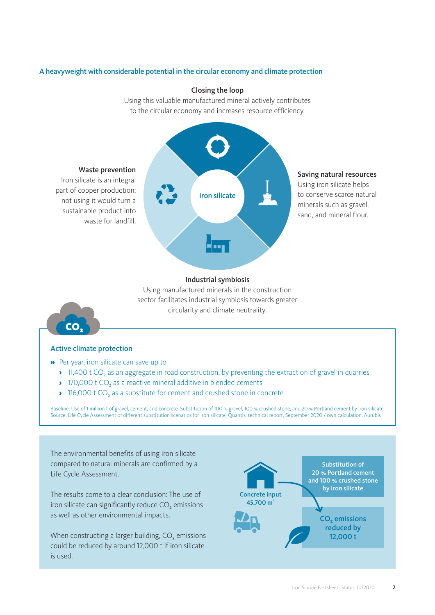### A heavyweight with considerable potential in the circular economy and climate protection



Closing the loop

Using this valuable manufactured mineral actively contributes to the circular economy and increases resource efficiency.

#### Industrial symbiosis

Using manufactured minerals in the construction sector facilitates industrial symbiosis towards greater circularity and climate neutrality.



#### Active climate protection

- » Per year, iron silicate can save up to
	- 11,400 t CO<sub>2</sub> as an aggregate in road construction, by preventing the extraction of gravel in quarries
	- 170,000 t CO<sub>2</sub> as a reactive mineral additive in blended cements
	- 116,000 t CO<sub>2</sub> as a substitute for cement and crushed stone in concrete

Baseline: Use of 1 million t of gravel, cement, and concrete. Substitution of 100 % gravel, 100 % crushed stone, and 20 % Portland cement by iron silicate. Source: Life Cycle Assessment of different substitution scenarios for iron silicate, Quantis, technical report, September 2020 / own calculation, Aurubis

The environmental benefits of using iron silicate compared to natural minerals are confirmed by a Life Cycle Assessment.

The results come to a clear conclusion: The use of iron silicate can significantly reduce CO<sub>2</sub> emissions as well as other environmental impacts.

When constructing a larger building,  $CO<sub>2</sub>$  emissions could be reduced by around 12,000 t if iron silicate is used.

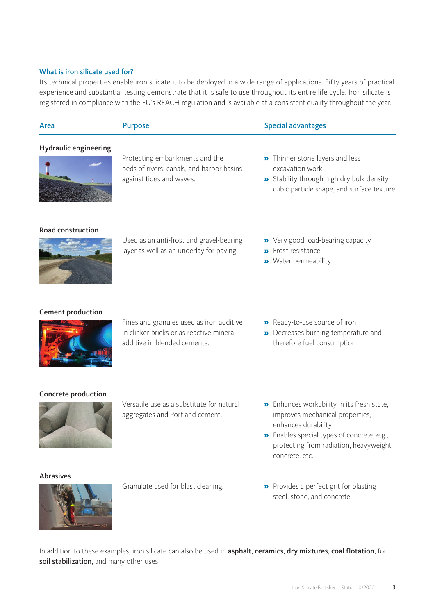# What is iron silicate used for?

Its technical properties enable iron silicate it to be deployed in a wide range of applications. Fifty years of practical experience and substantial testing demonstrate that it is safe to use throughout its entire life cycle. Iron silicate is registered in compliance with the EU's REACH regulation and is available at a consistent quality throughout the year.

| Area                         | <b>Purpose</b>                                                                                                       | <b>Special advantages</b>                                                                                                                                                                                      |
|------------------------------|----------------------------------------------------------------------------------------------------------------------|----------------------------------------------------------------------------------------------------------------------------------------------------------------------------------------------------------------|
| <b>Hydraulic engineering</b> | Protecting embankments and the<br>beds of rivers, canals, and harbor basins<br>against tides and waves.              | >> Thinner stone layers and less<br>excavation work<br>>> Stability through high dry bulk density,<br>cubic particle shape, and surface texture                                                                |
| Road construction            | Used as an anti-frost and gravel-bearing<br>layer as well as an underlay for paving.                                 | > Very good load-bearing capacity<br>Frost resistance<br><b>»</b> Water permeability                                                                                                                           |
| <b>Cement production</b>     | Fines and granules used as iron additive<br>in clinker bricks or as reactive mineral<br>additive in blended cements. | Ready-to-use source of iron<br>Decreases burning temperature and<br>therefore fuel consumption                                                                                                                 |
| Concrete production          | Versatile use as a substitute for natural<br>aggregates and Portland cement.                                         | > Enhances workability in its fresh state,<br>improves mechanical properties,<br>enhances durability<br>» Enables special types of concrete, e.g.,<br>protecting from radiation, heavyweight<br>concrete, etc. |
| <b>Abrasives</b>             | Granulate used for blast cleaning.                                                                                   | > Provides a perfect grit for blasting<br>steel, stone, and concrete                                                                                                                                           |

In addition to these examples, iron silicate can also be used in asphalt, ceramics, dry mixtures, coal flotation, for soil stabilization, and many other uses.